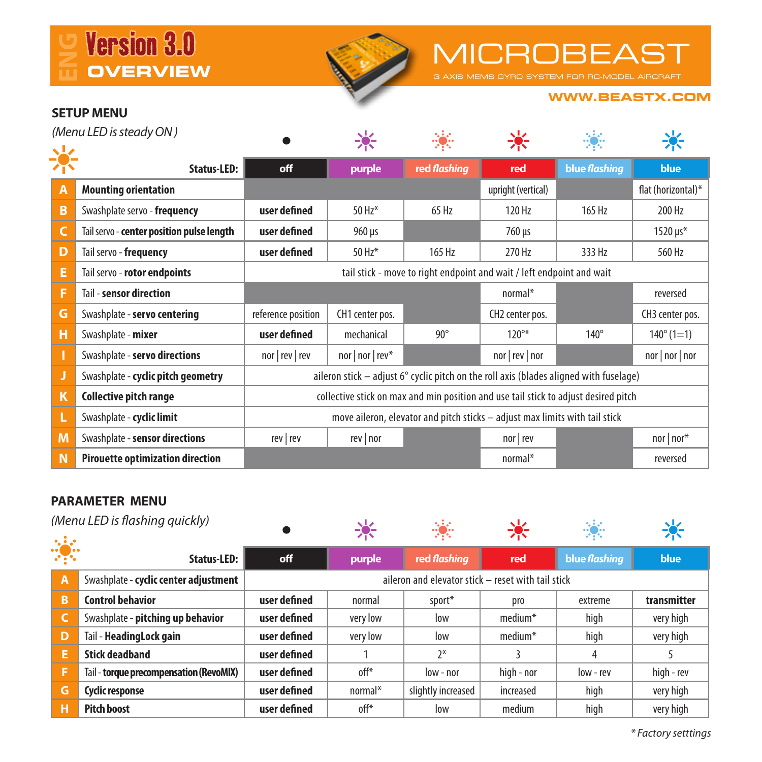



# **MICROBEAST**

#### **WWW.BEASTX.COM**

### **SETUP MENU**

| (Menu LED is steady ON) |                                           |                                                                                        | 楽                |              |                    |               |                     |  |  |
|-------------------------|-------------------------------------------|----------------------------------------------------------------------------------------|------------------|--------------|--------------------|---------------|---------------------|--|--|
|                         |                                           |                                                                                        |                  |              |                    |               |                     |  |  |
|                         | Status-LED:                               | off                                                                                    | purple           | red flashing | red                | blue flashing | <b>blue</b>         |  |  |
| Α                       | <b>Mounting orientation</b>               |                                                                                        |                  |              | upright (vertical) |               | flat (horizontal)*  |  |  |
| B                       | Swashplate servo - frequency              | user defined                                                                           | 50 Hz*           | 65 Hz        | 120 Hz             | 165 Hz        | 200 Hz              |  |  |
| c                       | Tail servo - center position pulse length | user defined                                                                           | $960 \,\mu s$    |              | 760 µs             |               | 1520 µs*            |  |  |
| D                       | Tail servo - frequency                    | user defined                                                                           | 50 Hz*           | 165 Hz       | 270 Hz             | 333 Hz        | 560 Hz              |  |  |
| Е                       | Tail servo - rotor endpoints              | tail stick - move to right endpoint and wait / left endpoint and wait                  |                  |              |                    |               |                     |  |  |
| F                       | Tail - sensor direction                   |                                                                                        |                  |              | normal*            |               | reversed            |  |  |
| G                       | Swashplate - servo centering              | reference position                                                                     | CH1 center pos.  |              | CH2 center pos.    |               | CH3 center pos.     |  |  |
| н                       | Swashplate - mixer                        | user defined                                                                           | mechanical       | $90^\circ$   | $120^{\circ*}$     | $140^\circ$   | $140^{\circ}$ (1=1) |  |  |
|                         | Swashplate - servo directions             | nor   rev   rev                                                                        | nor   nor   rev* |              | nor   rev   nor    |               | nor   nor   nor     |  |  |
|                         | Swashplate - cyclic pitch geometry        | aileron stick - adjust 6° cyclic pitch on the roll axis (blades aligned with fuselage) |                  |              |                    |               |                     |  |  |
| K                       | Collective pitch range                    | collective stick on max and min position and use tail stick to adjust desired pitch    |                  |              |                    |               |                     |  |  |
| L                       | Swashplate - cyclic limit                 | move aileron, elevator and pitch sticks - adjust max limits with tail stick            |                  |              |                    |               |                     |  |  |
| M                       | Swashplate - sensor directions            | rev   rev                                                                              | rev   nor        |              | nor   rev          |               | $nor   nor*$        |  |  |
| N                       | <b>Pirouette optimization direction</b>   |                                                                                        |                  |              | normal*            |               | reversed            |  |  |

### **PARAMETER MENU**

| (Menu LED is flashing guickly) |                                         |                                                    |          | 豪                  |            | 79.           |             |  |  |
|--------------------------------|-----------------------------------------|----------------------------------------------------|----------|--------------------|------------|---------------|-------------|--|--|
| 藻                              | Status-LED:                             | off                                                | purple   | red flashing       | red        | blue flashing | blue        |  |  |
| A                              | Swashplate - cyclic center adjustment   | aileron and elevator stick - reset with tail stick |          |                    |            |               |             |  |  |
| B                              | <b>Control behavior</b>                 | user defined                                       | normal   | sport*             | pro        | extreme       | transmitter |  |  |
|                                | Swashplate - pitching up behavior       | user defined                                       | very low | low                | $median*$  | high          | very high   |  |  |
| D                              | Tail - HeadingLock gain                 | user defined                                       | very low | low                | $median*$  | high          | very high   |  |  |
| Е                              | <b>Stick deadband</b>                   | user defined                                       |          | $2*$               |            | 4             |             |  |  |
| F                              | Tail - torque precompensation (RevoMIX) | user defined                                       | off*     | low - nor          | high - nor | low - rev     | high - rev  |  |  |
| G                              | Cyclic response                         | user defined                                       | normal*  | slightly increased | increased  | high          | very high   |  |  |
| н                              | <b>Pitch boost</b>                      | user defined                                       | off*     | low                | medium     | high          | very high   |  |  |

 *\* Factory setttings*